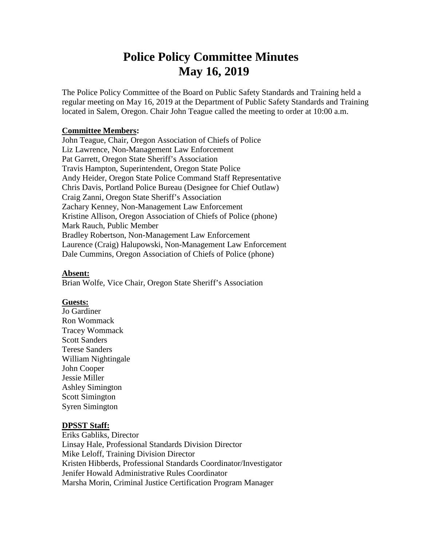# **Police Policy Committee Minutes May 16, 2019**

The Police Policy Committee of the Board on Public Safety Standards and Training held a regular meeting on May 16, 2019 at the Department of Public Safety Standards and Training located in Salem, Oregon. Chair John Teague called the meeting to order at 10:00 a.m.

#### **Committee Members:**

John Teague, Chair, Oregon Association of Chiefs of Police Liz Lawrence, Non-Management Law Enforcement Pat Garrett, Oregon State Sheriff's Association Travis Hampton, Superintendent, Oregon State Police Andy Heider, Oregon State Police Command Staff Representative Chris Davis, Portland Police Bureau (Designee for Chief Outlaw) Craig Zanni, Oregon State Sheriff's Association Zachary Kenney, Non-Management Law Enforcement Kristine Allison, Oregon Association of Chiefs of Police (phone) Mark Rauch, Public Member Bradley Robertson, Non-Management Law Enforcement Laurence (Craig) Halupowski, Non-Management Law Enforcement Dale Cummins, Oregon Association of Chiefs of Police (phone)

#### **Absent:**

Brian Wolfe, Vice Chair, Oregon State Sheriff's Association

#### **Guests:**

Jo Gardiner Ron Wommack Tracey Wommack Scott Sanders Terese Sanders William Nightingale John Cooper Jessie Miller Ashley Simington Scott Simington Syren Simington

#### **DPSST Staff:**

Eriks Gabliks, Director Linsay Hale, Professional Standards Division Director Mike Leloff, Training Division Director Kristen Hibberds, Professional Standards Coordinator/Investigator Jenifer Howald Administrative Rules Coordinator Marsha Morin, Criminal Justice Certification Program Manager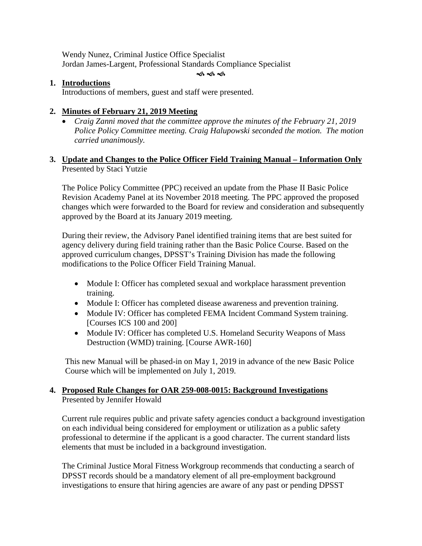Wendy Nunez, Criminal Justice Office Specialist Jordan James-Largent, Professional Standards Compliance Specialist

#### ক কৰ্ক

#### **1. Introductions**

Introductions of members, guest and staff were presented.

# **2. Minutes of February 21, 2019 Meeting**

• *Craig Zanni moved that the committee approve the minutes of the February 21, 2019 Police Policy Committee meeting. Craig Halupowski seconded the motion. The motion carried unanimously.*

# **3. Update and Changes to the Police Officer Field Training Manual – Information Only** Presented by Staci Yutzie

The Police Policy Committee (PPC) received an update from the Phase II Basic Police Revision Academy Panel at its November 2018 meeting. The PPC approved the proposed changes which were forwarded to the Board for review and consideration and subsequently approved by the Board at its January 2019 meeting.

During their review, the Advisory Panel identified training items that are best suited for agency delivery during field training rather than the Basic Police Course. Based on the approved curriculum changes, DPSST's Training Division has made the following modifications to the Police Officer Field Training Manual.

- Module I: Officer has completed sexual and workplace harassment prevention training.
- Module I: Officer has completed disease awareness and prevention training.
- Module IV: Officer has completed FEMA Incident Command System training. [Courses ICS 100 and 200]
- Module IV: Officer has completed U.S. Homeland Security Weapons of Mass Destruction (WMD) training. [Course AWR-160]

This new Manual will be phased-in on May 1, 2019 in advance of the new Basic Police Course which will be implemented on July 1, 2019.

# **4. Proposed Rule Changes for OAR 259-008-0015: Background Investigations** Presented by Jennifer Howald

Current rule requires public and private safety agencies conduct a background investigation on each individual being considered for employment or utilization as a public safety professional to determine if the applicant is a good character. The current standard lists elements that must be included in a background investigation.

The Criminal Justice Moral Fitness Workgroup recommends that conducting a search of DPSST records should be a mandatory element of all pre-employment background investigations to ensure that hiring agencies are aware of any past or pending DPSST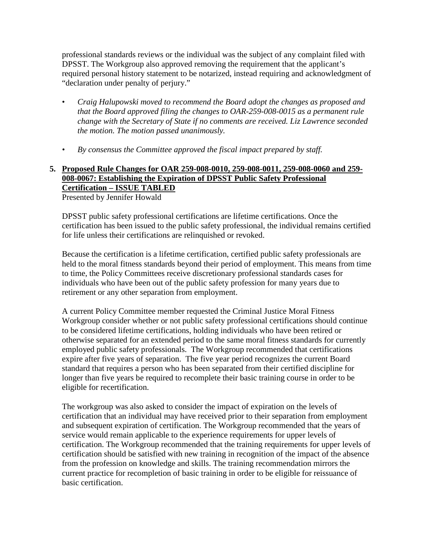professional standards reviews or the individual was the subject of any complaint filed with DPSST. The Workgroup also approved removing the requirement that the applicant's required personal history statement to be notarized, instead requiring and acknowledgment of "declaration under penalty of perjury."

- *Craig Halupowski moved to recommend the Board adopt the changes as proposed and that the Board approved filing the changes to OAR-259-008-0015 as a permanent rule change with the Secretary of State if no comments are received. Liz Lawrence seconded the motion. The motion passed unanimously.*
- *By consensus the Committee approved the fiscal impact prepared by staff.*

# **5. Proposed Rule Changes for OAR 259-008-0010, 259-008-0011, 259-008-0060 and 259- 008-0067: Establishing the Expiration of DPSST Public Safety Professional Certification – ISSUE TABLED**

Presented by Jennifer Howald

DPSST public safety professional certifications are lifetime certifications. Once the certification has been issued to the public safety professional, the individual remains certified for life unless their certifications are relinquished or revoked.

Because the certification is a lifetime certification, certified public safety professionals are held to the moral fitness standards beyond their period of employment. This means from time to time, the Policy Committees receive discretionary professional standards cases for individuals who have been out of the public safety profession for many years due to retirement or any other separation from employment.

A current Policy Committee member requested the Criminal Justice Moral Fitness Workgroup consider whether or not public safety professional certifications should continue to be considered lifetime certifications, holding individuals who have been retired or otherwise separated for an extended period to the same moral fitness standards for currently employed public safety professionals. The Workgroup recommended that certifications expire after five years of separation. The five year period recognizes the current Board standard that requires a person who has been separated from their certified discipline for longer than five years be required to recomplete their basic training course in order to be eligible for recertification.

The workgroup was also asked to consider the impact of expiration on the levels of certification that an individual may have received prior to their separation from employment and subsequent expiration of certification. The Workgroup recommended that the years of service would remain applicable to the experience requirements for upper levels of certification. The Workgroup recommended that the training requirements for upper levels of certification should be satisfied with new training in recognition of the impact of the absence from the profession on knowledge and skills. The training recommendation mirrors the current practice for recompletion of basic training in order to be eligible for reissuance of basic certification.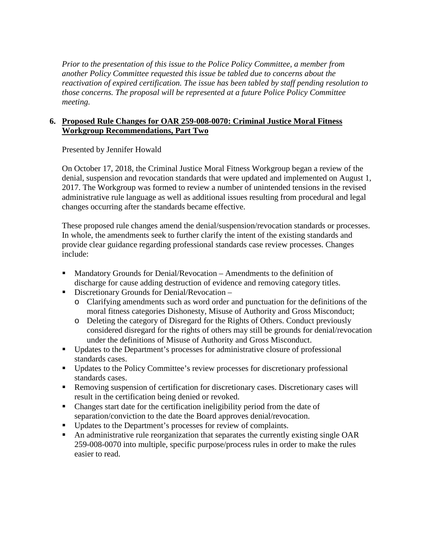*Prior to the presentation of this issue to the Police Policy Committee, a member from another Policy Committee requested this issue be tabled due to concerns about the reactivation of expired certification. The issue has been tabled by staff pending resolution to those concerns. The proposal will be represented at a future Police Policy Committee meeting.*

#### **6. Proposed Rule Changes for OAR 259-008-0070: Criminal Justice Moral Fitness Workgroup Recommendations, Part Two**

Presented by Jennifer Howald

On October 17, 2018, the Criminal Justice Moral Fitness Workgroup began a review of the denial, suspension and revocation standards that were updated and implemented on August 1, 2017. The Workgroup was formed to review a number of unintended tensions in the revised administrative rule language as well as additional issues resulting from procedural and legal changes occurring after the standards became effective.

These proposed rule changes amend the denial/suspension/revocation standards or processes. In whole, the amendments seek to further clarify the intent of the existing standards and provide clear guidance regarding professional standards case review processes. Changes include:

- Mandatory Grounds for Denial/Revocation Amendments to the definition of discharge for cause adding destruction of evidence and removing category titles.
- **Discretionary Grounds for Denial/Revocation** 
	- o Clarifying amendments such as word order and punctuation for the definitions of the moral fitness categories Dishonesty, Misuse of Authority and Gross Misconduct;
	- o Deleting the category of Disregard for the Rights of Others. Conduct previously considered disregard for the rights of others may still be grounds for denial/revocation under the definitions of Misuse of Authority and Gross Misconduct.
- Updates to the Department's processes for administrative closure of professional standards cases.
- Updates to the Policy Committee's review processes for discretionary professional standards cases.
- Removing suspension of certification for discretionary cases. Discretionary cases will result in the certification being denied or revoked.
- Changes start date for the certification ineligibility period from the date of separation/conviction to the date the Board approves denial/revocation.
- Updates to the Department's processes for review of complaints.
- An administrative rule reorganization that separates the currently existing single OAR 259-008-0070 into multiple, specific purpose/process rules in order to make the rules easier to read.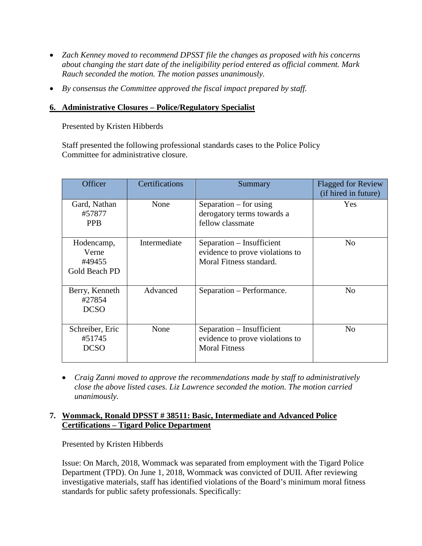- *Zach Kenney moved to recommend DPSST file the changes as proposed with his concerns about changing the start date of the ineligibility period entered as official comment. Mark Rauch seconded the motion. The motion passes unanimously.*
- *By consensus the Committee approved the fiscal impact prepared by staff.*

# **6. Administrative Closures – Police/Regulatory Specialist**

Presented by Kristen Hibberds

Staff presented the following professional standards cases to the Police Policy Committee for administrative closure.

| Officer                                        | Certifications | Summary                                                                                 | <b>Flagged for Review</b><br>(if hired in future) |
|------------------------------------------------|----------------|-----------------------------------------------------------------------------------------|---------------------------------------------------|
| Gard, Nathan<br>#57877<br><b>PPB</b>           | None           | Separation $-$ for using<br>derogatory terms towards a<br>fellow classmate              | Yes                                               |
| Hodencamp,<br>Verne<br>#49455<br>Gold Beach PD | Intermediate   | Separation – Insufficient<br>evidence to prove violations to<br>Moral Fitness standard. | N <sub>0</sub>                                    |
| Berry, Kenneth<br>#27854<br><b>DCSO</b>        | Advanced       | Separation - Performance.                                                               | N <sub>0</sub>                                    |
| Schreiber, Eric<br>#51745<br><b>DCSO</b>       | None           | Separation – Insufficient<br>evidence to prove violations to<br><b>Moral Fitness</b>    | N <sub>0</sub>                                    |

• *Craig Zanni moved to approve the recommendations made by staff to administratively close the above listed cases. Liz Lawrence seconded the motion. The motion carried unanimously.* 

# **7. Wommack, Ronald DPSST # 38511: Basic, Intermediate and Advanced Police Certifications – Tigard Police Department**

Presented by Kristen Hibberds

Issue: On March, 2018, Wommack was separated from employment with the Tigard Police Department (TPD). On June 1, 2018, Wommack was convicted of DUII. After reviewing investigative materials, staff has identified violations of the Board's minimum moral fitness standards for public safety professionals. Specifically: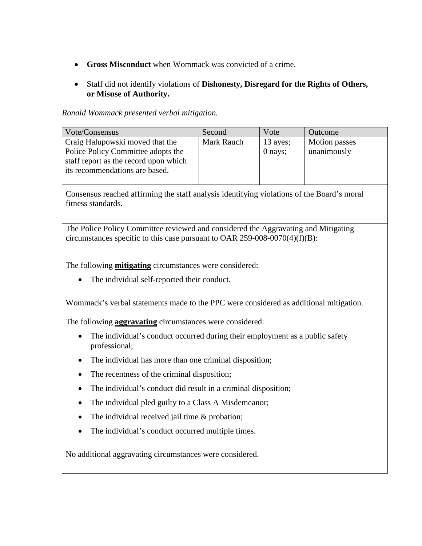- **Gross Misconduct** when Wommack was convicted of a crime.
- Staff did not identify violations of **Dishonesty, Disregard for the Rights of Others, or Misuse of Authority.**

#### *Ronald Wommack presented verbal mitigation.*

| Vote/Consensus                                                              | Second     | Vote       | Outcome       |
|-----------------------------------------------------------------------------|------------|------------|---------------|
| Craig Halupowski moved that the                                             | Mark Rauch | $13$ ayes; | Motion passes |
| Police Policy Committee adopts the<br>staff report as the record upon which |            | $0$ nays;  | unanimously   |
| its recommendations are based.                                              |            |            |               |
|                                                                             |            |            |               |

Consensus reached affirming the staff analysis identifying violations of the Board's moral fitness standards.

The Police Policy Committee reviewed and considered the Aggravating and Mitigating circumstances specific to this case pursuant to OAR 259-008-0070(4)(f)(B):

The following **mitigating** circumstances were considered:

• The individual self-reported their conduct.

Wommack's verbal statements made to the PPC were considered as additional mitigation.

The following **aggravating** circumstances were considered:

- The individual's conduct occurred during their employment as a public safety professional;
- The individual has more than one criminal disposition;
- The recentness of the criminal disposition;
- The individual's conduct did result in a criminal disposition;
- The individual pled guilty to a Class A Misdemeanor;
- The individual received jail time  $&$  probation;
- The individual's conduct occurred multiple times.

No additional aggravating circumstances were considered.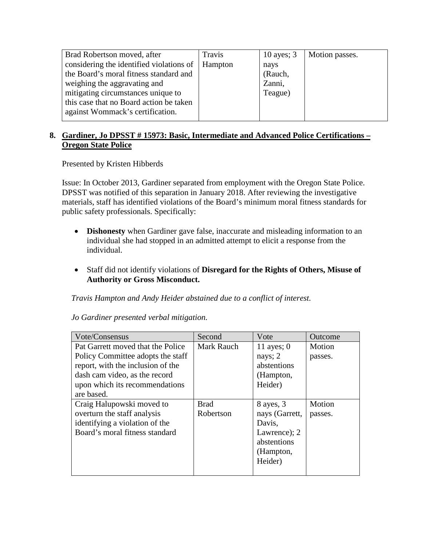| Brad Robertson moved, after              | Travis  | 10 ayes; $3$ | Motion passes. |
|------------------------------------------|---------|--------------|----------------|
| considering the identified violations of | Hampton | nays         |                |
| the Board's moral fitness standard and   |         | (Rauch,      |                |
| weighing the aggravating and             |         | Zanni,       |                |
| mitigating circumstances unique to       |         | Teague)      |                |
| this case that no Board action be taken  |         |              |                |
| against Wommack's certification.         |         |              |                |
|                                          |         |              |                |

# **8. Gardiner, Jo DPSST # 15973: Basic, Intermediate and Advanced Police Certifications – Oregon State Police**

Presented by Kristen Hibberds

Issue: In October 2013, Gardiner separated from employment with the Oregon State Police. DPSST was notified of this separation in January 2018. After reviewing the investigative materials, staff has identified violations of the Board's minimum moral fitness standards for public safety professionals. Specifically:

- **Dishonesty** when Gardiner gave false, inaccurate and misleading information to an individual she had stopped in an admitted attempt to elicit a response from the individual.
- Staff did not identify violations of **Disregard for the Rights of Others, Misuse of Authority or Gross Misconduct.**

*Travis Hampton and Andy Heider abstained due to a conflict of interest.*

*Jo Gardiner presented verbal mitigation.*

| Vote/Consensus                    | Second      | Vote           | Outcome |
|-----------------------------------|-------------|----------------|---------|
| Pat Garrett moved that the Police | Mark Rauch  | 11 ayes; $0$   | Motion  |
| Policy Committee adopts the staff |             | nays; $2$      | passes. |
| report, with the inclusion of the |             | abstentions    |         |
| dash cam video, as the record     |             | (Hampton,      |         |
| upon which its recommendations    |             | Heider)        |         |
| are based.                        |             |                |         |
| Craig Halupowski moved to         | <b>Brad</b> | 8 ayes, 3      | Motion  |
| overturn the staff analysis       | Robertson   | nays (Garrett, | passes. |
| identifying a violation of the    |             | Davis,         |         |
| Board's moral fitness standard    |             | Lawrence); 2   |         |
|                                   |             | abstentions    |         |
|                                   |             | (Hampton,      |         |
|                                   |             | Heider)        |         |
|                                   |             |                |         |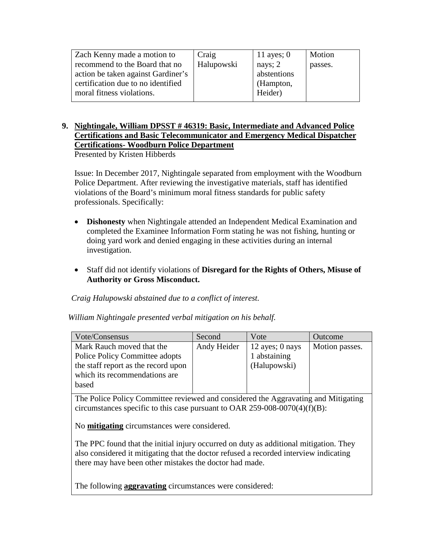| Zach Kenny made a motion to        | Craig      | 11 ayes; $0$ | Motion  |
|------------------------------------|------------|--------------|---------|
|                                    |            |              |         |
| recommend to the Board that no     | Halupowski | nays; $2$    | passes. |
| action be taken against Gardiner's |            | abstentions  |         |
| certification due to no identified |            | (Hampton,    |         |
| moral fitness violations.          |            | Heider)      |         |
|                                    |            |              |         |

# **9. Nightingale, William DPSST # 46319: Basic, Intermediate and Advanced Police Certifications and Basic Telecommunicator and Emergency Medical Dispatcher Certifications- Woodburn Police Department**

Presented by Kristen Hibberds

Issue: In December 2017, Nightingale separated from employment with the Woodburn Police Department. After reviewing the investigative materials, staff has identified violations of the Board's minimum moral fitness standards for public safety professionals. Specifically:

- **Dishonesty** when Nightingale attended an Independent Medical Examination and completed the Examinee Information Form stating he was not fishing, hunting or doing yard work and denied engaging in these activities during an internal investigation.
- Staff did not identify violations of **Disregard for the Rights of Others, Misuse of Authority or Gross Misconduct.**

#### *Craig Halupowski abstained due to a conflict of interest.*

*William Nightingale presented verbal mitigation on his behalf.*

| Vote/Consensus                        | Second      | Vote              | Outcome        |
|---------------------------------------|-------------|-------------------|----------------|
| Mark Rauch moved that the             | Andy Heider | 12 ayes; $0$ nays | Motion passes. |
| <b>Police Policy Committee adopts</b> |             | 1 abstaining      |                |
| the staff report as the record upon   |             | (Halupowski)      |                |
| which its recommendations are         |             |                   |                |
| based                                 |             |                   |                |

The Police Policy Committee reviewed and considered the Aggravating and Mitigating circumstances specific to this case pursuant to OAR 259-008-0070(4)(f)(B):

No **mitigating** circumstances were considered.

The PPC found that the initial injury occurred on duty as additional mitigation. They also considered it mitigating that the doctor refused a recorded interview indicating there may have been other mistakes the doctor had made.

The following **aggravating** circumstances were considered: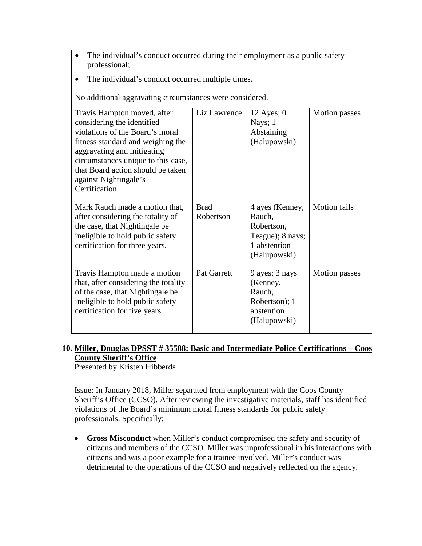- The individual's conduct occurred during their employment as a public safety professional;
- The individual's conduct occurred multiple times.

No additional aggravating circumstances were considered.

| Travis Hampton moved, after<br>considering the identified<br>violations of the Board's moral<br>fitness standard and weighing the<br>aggravating and mitigating<br>circumstances unique to this case,<br>that Board action should be taken<br>against Nightingale's<br>Certification | Liz Lawrence             | 12 Ayes; $0$<br>Nays; 1<br>Abstaining<br>(Halupowski)                                       | <b>Motion</b> passes |
|--------------------------------------------------------------------------------------------------------------------------------------------------------------------------------------------------------------------------------------------------------------------------------------|--------------------------|---------------------------------------------------------------------------------------------|----------------------|
| Mark Rauch made a motion that,<br>after considering the totality of<br>the case, that Nightingale be<br>ineligible to hold public safety<br>certification for three years.                                                                                                           | <b>Brad</b><br>Robertson | 4 ayes (Kenney,<br>Rauch,<br>Robertson,<br>Teague); 8 nays;<br>1 abstention<br>(Halupowski) | <b>Motion fails</b>  |
| Travis Hampton made a motion<br>that, after considering the totality<br>of the case, that Nightingale be<br>ineligible to hold public safety<br>certification for five years.                                                                                                        | Pat Garrett              | 9 ayes; 3 nays<br>(Kenney,<br>Rauch,<br>Robertson); 1<br>abstention<br>(Halupowski)         | <b>Motion</b> passes |

# **10. Miller, Douglas DPSST # 35588: Basic and Intermediate Police Certifications – Coos County Sheriff's Office**

Presented by Kristen Hibberds

Issue: In January 2018, Miller separated from employment with the Coos County Sheriff's Office (CCSO). After reviewing the investigative materials, staff has identified violations of the Board's minimum moral fitness standards for public safety professionals. Specifically:

• **Gross Misconduct** when Miller's conduct compromised the safety and security of citizens and members of the CCSO. Miller was unprofessional in his interactions with citizens and was a poor example for a trainee involved. Miller's conduct was detrimental to the operations of the CCSO and negatively reflected on the agency.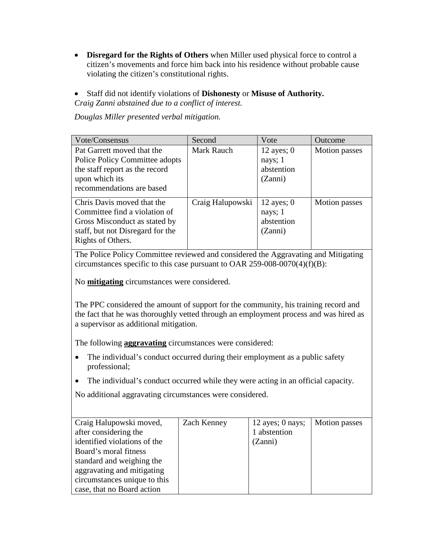- **Disregard for the Rights of Others** when Miller used physical force to control a citizen's movements and force him back into his residence without probable cause violating the citizen's constitutional rights.
- Staff did not identify violations of **Dishonesty** or **Misuse of Authority.** *Craig Zanni abstained due to a conflict of interest.*

*Douglas Miller presented verbal mitigation.*

| Vote/Consensus                                                                                                                                        | Second           | Vote                                             | Outcome              |
|-------------------------------------------------------------------------------------------------------------------------------------------------------|------------------|--------------------------------------------------|----------------------|
| Pat Garrett moved that the<br>Police Policy Committee adopts<br>the staff report as the record<br>upon which its<br>recommendations are based         | Mark Rauch       | 12 ayes; $0$<br>nays; 1<br>abstention<br>(Zanni) | Motion passes        |
| Chris Davis moved that the<br>Committee find a violation of<br>Gross Misconduct as stated by<br>staff, but not Disregard for the<br>Rights of Others. | Craig Halupowski | 12 ayes; $0$<br>nays; 1<br>abstention<br>(Zanni) | <b>Motion</b> passes |

The Police Policy Committee reviewed and considered the Aggravating and Mitigating circumstances specific to this case pursuant to OAR 259-008-0070(4)(f)(B):

No **mitigating** circumstances were considered.

The PPC considered the amount of support for the community, his training record and the fact that he was thoroughly vetted through an employment process and was hired as a supervisor as additional mitigation.

The following **aggravating** circumstances were considered:

- The individual's conduct occurred during their employment as a public safety professional;
- The individual's conduct occurred while they were acting in an official capacity.

No additional aggravating circumstances were considered.

| Craig Halupowski moved,      | Zach Kenney | $12$ ayes; 0 nays; | Motion passes |
|------------------------------|-------------|--------------------|---------------|
| after considering the        |             | 1 abstention       |               |
| identified violations of the |             | (Zanni)            |               |
| Board's moral fitness        |             |                    |               |
| standard and weighing the    |             |                    |               |
| aggravating and mitigating   |             |                    |               |
| circumstances unique to this |             |                    |               |
| case, that no Board action   |             |                    |               |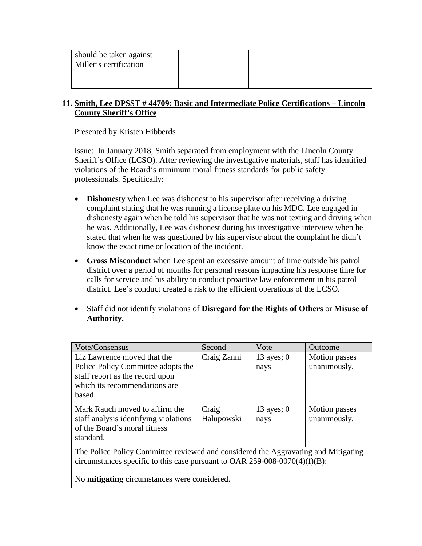| should be taken against<br>Miller's certification |  |  |
|---------------------------------------------------|--|--|
|                                                   |  |  |

#### **11. Smith, Lee DPSST # 44709: Basic and Intermediate Police Certifications – Lincoln County Sheriff's Office**

Presented by Kristen Hibberds

Issue: In January 2018, Smith separated from employment with the Lincoln County Sheriff's Office (LCSO). After reviewing the investigative materials, staff has identified violations of the Board's minimum moral fitness standards for public safety professionals. Specifically:

- **Dishonesty** when Lee was dishonest to his supervisor after receiving a driving complaint stating that he was running a license plate on his MDC. Lee engaged in dishonesty again when he told his supervisor that he was not texting and driving when he was. Additionally, Lee was dishonest during his investigative interview when he stated that when he was questioned by his supervisor about the complaint he didn't know the exact time or location of the incident.
- **Gross Misconduct** when Lee spent an excessive amount of time outside his patrol district over a period of months for personal reasons impacting his response time for calls for service and his ability to conduct proactive law enforcement in his patrol district. Lee's conduct created a risk to the efficient operations of the LCSO.
- Staff did not identify violations of **Disregard for the Rights of Others** or **Misuse of Authority.**

| Vote/Consensus                                                                                                                                                   | Second              | Vote                 | Outcome                       |
|------------------------------------------------------------------------------------------------------------------------------------------------------------------|---------------------|----------------------|-------------------------------|
| Liz Lawrence moved that the<br>Police Policy Committee adopts the<br>staff report as the record upon<br>which its recommendations are<br>based                   | Craig Zanni         | 13 ayes; $0$<br>nays | Motion passes<br>unanimously. |
| Mark Rauch moved to affirm the<br>staff analysis identifying violations<br>of the Board's moral fitness<br>standard.                                             | Craig<br>Halupowski | 13 ayes; $0$<br>nays | Motion passes<br>unanimously. |
| The Police Policy Committee reviewed and considered the Aggravating and Mitigating<br>circumstances specific to this case pursuant to OAR 259-008-0070(4)(f)(B): |                     |                      |                               |

No **mitigating** circumstances were considered.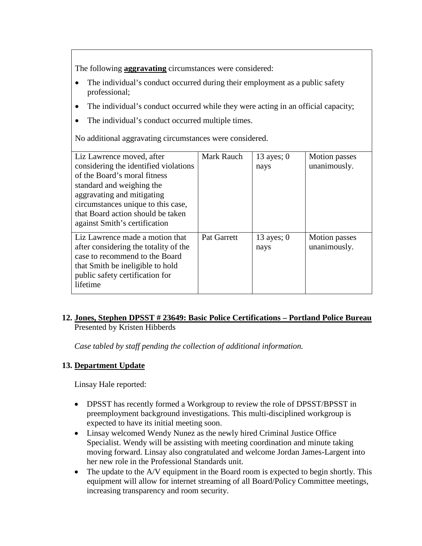The following **aggravating** circumstances were considered:

- The individual's conduct occurred during their employment as a public safety professional;
- The individual's conduct occurred while they were acting in an official capacity;
- The individual's conduct occurred multiple times.

No additional aggravating circumstances were considered.

| Liz Lawrence moved, after<br>considering the identified violations<br>of the Board's moral fitness<br>standard and weighing the<br>aggravating and mitigating<br>circumstances unique to this case,<br>that Board action should be taken<br>against Smith's certification | <b>Mark Rauch</b> | 13 ayes; $0$<br>nays | <b>Motion</b> passes<br>unanimously. |
|---------------------------------------------------------------------------------------------------------------------------------------------------------------------------------------------------------------------------------------------------------------------------|-------------------|----------------------|--------------------------------------|
| Liz Lawrence made a motion that<br>after considering the totality of the<br>case to recommend to the Board<br>that Smith be ineligible to hold<br>public safety certification for<br>lifetime                                                                             | Pat Garrett       | 13 ayes; $0$<br>nays | <b>Motion</b> passes<br>unanimously. |

#### **12. Jones, Stephen DPSST # 23649: Basic Police Certifications – Portland Police Bureau** Presented by Kristen Hibberds

*Case tabled by staff pending the collection of additional information.*

# **13. Department Update**

Linsay Hale reported:

- DPSST has recently formed a Workgroup to review the role of DPSST/BPSST in preemployment background investigations. This multi-disciplined workgroup is expected to have its initial meeting soon.
- Linsay welcomed Wendy Nunez as the newly hired Criminal Justice Office Specialist. Wendy will be assisting with meeting coordination and minute taking moving forward. Linsay also congratulated and welcome Jordan James-Largent into her new role in the Professional Standards unit.
- The update to the A/V equipment in the Board room is expected to begin shortly. This equipment will allow for internet streaming of all Board/Policy Committee meetings, increasing transparency and room security.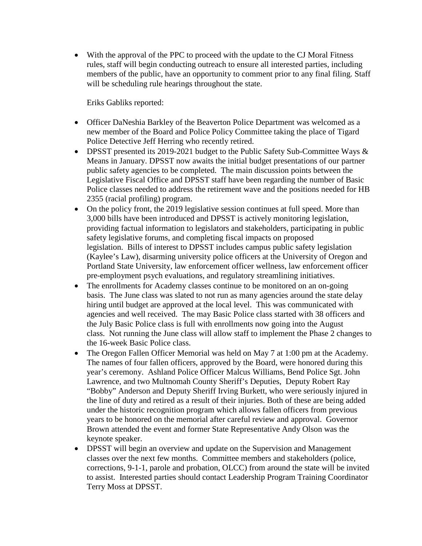• With the approval of the PPC to proceed with the update to the CJ Moral Fitness rules, staff will begin conducting outreach to ensure all interested parties, including members of the public, have an opportunity to comment prior to any final filing. Staff will be scheduling rule hearings throughout the state.

Eriks Gabliks reported:

- Officer DaNeshia Barkley of the Beaverton Police Department was welcomed as a new member of the Board and Police Policy Committee taking the place of Tigard Police Detective Jeff Herring who recently retired.
- DPSST presented its 2019-2021 budget to the Public Safety Sub-Committee Ways & Means in January. DPSST now awaits the initial budget presentations of our partner public safety agencies to be completed. The main discussion points between the Legislative Fiscal Office and DPSST staff have been regarding the number of Basic Police classes needed to address the retirement wave and the positions needed for HB 2355 (racial profiling) program.
- On the policy front, the 2019 legislative session continues at full speed. More than 3,000 bills have been introduced and DPSST is actively monitoring legislation, providing factual information to legislators and stakeholders, participating in public safety legislative forums, and completing fiscal impacts on proposed legislation. Bills of interest to DPSST includes campus public safety legislation (Kaylee's Law), disarming university police officers at the University of Oregon and Portland State University, law enforcement officer wellness, law enforcement officer pre-employment psych evaluations, and regulatory streamlining initiatives.
- The enrollments for Academy classes continue to be monitored on an on-going basis. The June class was slated to not run as many agencies around the state delay hiring until budget are approved at the local level. This was communicated with agencies and well received. The may Basic Police class started with 38 officers and the July Basic Police class is full with enrollments now going into the August class. Not running the June class will allow staff to implement the Phase 2 changes to the 16-week Basic Police class.
- The Oregon Fallen Officer Memorial was held on May 7 at 1:00 pm at the Academy. The names of four fallen officers, approved by the Board, were honored during this year's ceremony. Ashland Police Officer Malcus Williams, Bend Police Sgt. John Lawrence, and two Multnomah County Sheriff's Deputies, Deputy Robert Ray "Bobby" Anderson and Deputy Sheriff Irving Burkett, who were seriously injured in the line of duty and retired as a result of their injuries. Both of these are being added under the historic recognition program which allows fallen officers from previous years to be honored on the memorial after careful review and approval. Governor Brown attended the event and former State Representative Andy Olson was the keynote speaker.
- DPSST will begin an overview and update on the Supervision and Management classes over the next few months. Committee members and stakeholders (police, corrections, 9-1-1, parole and probation, OLCC) from around the state will be invited to assist. Interested parties should contact Leadership Program Training Coordinator Terry Moss at DPSST.